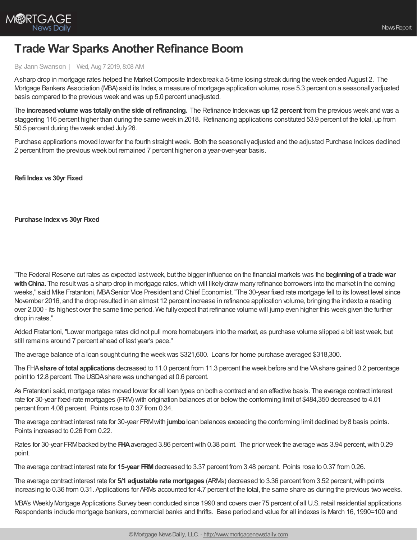

## **Trade War Sparks Another Refinance Boom**

## By: Jann Swanson | Wed, Aug 7 2019, 8:08 AM

Asharp drop in mortgage rates helped the Market Composite Index break a 5-time losing streak during the week ended August 2. The Mortgage Bankers Association (MBA) said its Index, a measure of mortgage application volume, rose 5.3 percent on a seasonallyadjusted basis compared to the previous week and was up 5.0 percent unadjusted.

The **increasedvolumewas totallyonthe side ofrefinancing.** The Refinance Indexwas **up12 percent** from the previous week and was a staggering 116 percent higher than during the same week in 2018. Refinancing applications constituted 53.9 percent of the total, up from 50.5 percent during the week ended July26.

Purchase applications moved lower for the fourth straight week. Both the seasonally adjusted and the adjusted Purchase Indices declined 2 percent from the previous week but remained 7 percent higher on a year-over-year basis.

**Refi Index vs 30yr Fixed**

**Purchase Index vs 30yr Fixed**

"The Federal Reserve cut rates as expected lastweek, but the bigger influence on the financial markets was the **beginningof a tradewar** with China. The result was a sharp drop in mortgage rates, which will likely draw many refinance borrowers into the market in the coming weeks," said Mike Fratantoni, MBASenior Vice President and Chief Economist."The 30-year fixed rate mortgage fell to its lowest level since November 2016, and the drop resulted in an almost 12 percent increase in refinance application volume, bringing the indexto a reading over 2,000 - its highest over the same time period. We fullyexpect that refinance volume will jump even higher this week given the further drop in rates."

Added Fratantoni, "Lower mortgage rates did not pull more homebuyers into the market, as purchase volume slipped a bit last week, but still remains around 7 percent ahead of last year's pace."

The average balance of a loan sought during the weekwas \$321,600. Loans for home purchase averaged \$318,300.

The FHA**share of total applications** decreased to 11.0 percent from 11.3 percent the week before and the VAshare gained 0.2 percentage point to 12.8 percent. The USDAshare was unchanged at 0.6 percent.

As Fratantoni said, mortgage rates moved lower for all loan types on both a contract and an effective basis. The average contract interest rate for 30-year fixed-rate mortgages (FRM) with origination balances at or belowthe conforming limit of \$484,350 decreased to 4.01 percent from 4.08 percent. Points rose to 0.37 from 0.34.

The average contract interest rate for 30-year FRMwith **jumbo**loan balances exceeding the conforming limit declined by8 basis points. Points increased to 0.26 from 0.22.

Rates for 30-year FRMbacked bythe **FHA**averaged 3.86 percentwith 0.38 point. The prior week the average was 3.94 percent,with 0.29 point.

The average contract interest rate for **15-year FRM**decreased to 3.37 percent from 3.48 percent. Points rose to 0.37 from 0.26.

The average contract interest rate for **5/1 adjustable rate mortgages** (ARMs) decreased to 3.36 percent from 3.52 percent,with points increasing to 0.36 from 0.31. Applications for ARMs accounted for 4.7 percent of the total, the same share as during the previous two weeks.

MBA's WeeklyMortgage Applications Surveybeen conducted since 1990 and covers over 75 percent of all U.S. retail residential applications Respondents include mortgage bankers, commercial banks and thrifts. Base period and value for all indexes is March 16, 1990=100 and